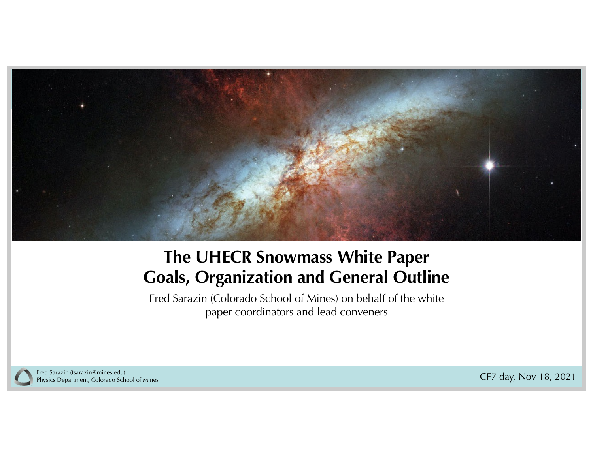

## **The UHECR Snowmass White Paper Goals, Organization and General Outline**

Fred Sarazin (Colorado School of Mines) on behalf of the white paper coordinators and lead conveners



Fred Sarazin (fsarazin@mines.edu)<br>Physics Department, Colorado School of Mines Physics Department, Colorado School of Mines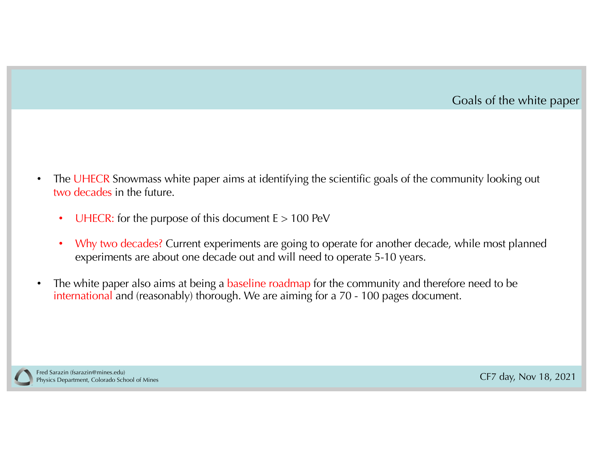

- The UHECR Snowmass white paper aims at identifying the scientific goals of the community looking out two decades in the future.
	- UHECR: for the purpose of this document  $E > 100$  PeV
	- Why two decades? Current experiments are going to operate for another decade, while most planned experiments are about one decade out and will need to operate 5-10 years.
- The white paper also aims at being a baseline roadmap for the community and therefore need to be international and (reasonably) thorough. We are aiming for a 70 - 100 pages document.

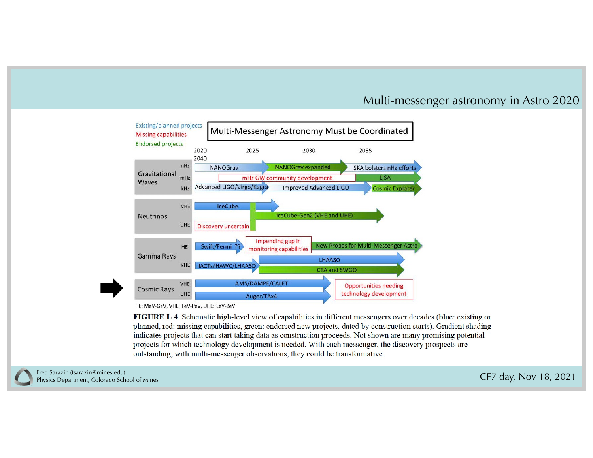#### Multi-messenger astronomy in Astro 2020

| Existing/planned projects<br><b>Missing capabilities</b> |              |                           | Multi-Messenger Astronomy Must be Coordinated |                                             |                               |                              |                                      |  |
|----------------------------------------------------------|--------------|---------------------------|-----------------------------------------------|---------------------------------------------|-------------------------------|------------------------------|--------------------------------------|--|
| <b>Endorsed projects</b>                                 | 2020<br>2040 |                           | 2025                                          | 2030                                        |                               | 2035                         |                                      |  |
|                                                          | nHz          | <b>NANOGrav</b>           |                                               | <b>NANOGrav expanded</b>                    |                               |                              | <b>SKA bolsters nHz efforts</b>      |  |
| Gravitational<br>Waves<br><b>Neutrinos</b>               | mHz          |                           | mHz GW community development                  |                                             |                               |                              | <b>LISA</b>                          |  |
|                                                          | kHz          | Advanced LIGO/Virgo/Kagra |                                               |                                             | <b>Improved Advanced LIGO</b> |                              | <b>Cosmic Explorer</b>               |  |
|                                                          | UHE          | Discovery uncertain       |                                               | IceCube-Gen2 (VHE and UHE)                  |                               |                              |                                      |  |
|                                                          |              |                           |                                               |                                             |                               |                              |                                      |  |
| Gamma Rays                                               | HE           | Swift/Fermi               |                                               | Impending gap in<br>monitoring capabilities |                               |                              | New Probes for Multi-Messenger Astro |  |
|                                                          | <b>VHE</b>   | IACTs/HAWC/LHAASO         |                                               |                                             | <b>LHAASO</b><br>CTA and SWGO |                              |                                      |  |
| <b>Cosmic Rays</b>                                       | <b>VHE</b>   |                           | AMS/DAMPE/CALET                               |                                             |                               | <b>Opportunities needing</b> |                                      |  |
|                                                          | UHE          |                           | Auger/TAx4                                    |                                             |                               |                              | technology development               |  |

HE: MeV-GeV, VHE: TeV-PeV, UHE: EeV-ZeV

FIGURE L.4 Schematic high-level view of capabilities in different messengers over decades (blue: existing or planned, red: missing capabilities, green: endorsed new projects, dated by construction starts). Gradient shading indicates projects that can start taking data as construction proceeds. Not shown are many promising potential projects for which technology development is needed. With each messenger, the discovery prospects are outstanding; with multi-messenger observations, they could be transformative.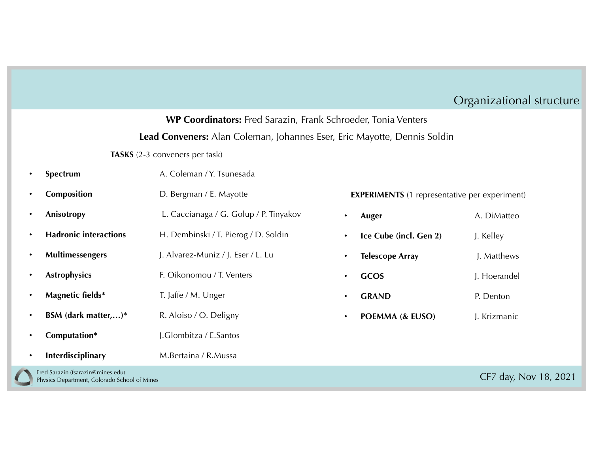### Organizational structure

#### **WP Coordinators:** Fred Sarazin, Frank Schroeder, Tonia Venters

#### **Lead Conveners:** Alan Coleman, Johannes Eser, Eric Mayotte, Dennis Soldin

**TASKS** (2-3 conveners per task)

|           | Spectrum                     | A. Coleman / Y. Tsunesada              |           |                                                      |              |
|-----------|------------------------------|----------------------------------------|-----------|------------------------------------------------------|--------------|
| $\bullet$ | Composition                  | D. Bergman / E. Mayotte                |           | <b>EXPERIMENTS</b> (1 representative per experiment) |              |
| $\bullet$ | Anisotropy                   | L. Caccianaga / G. Golup / P. Tinyakov | $\bullet$ | Auger                                                | A. DiMatteo  |
| $\bullet$ | <b>Hadronic interactions</b> | H. Dembinski / T. Pierog / D. Soldin   |           | Ice Cube (incl. Gen 2)                               | J. Kelley    |
| $\bullet$ | Multimessengers              | J. Alvarez-Muniz / J. Eser / L. Lu     |           | <b>Telescope Array</b>                               | J. Matthews  |
| $\bullet$ | <b>Astrophysics</b>          | F. Oikonomou / T. Venters              | $\bullet$ | <b>GCOS</b>                                          | J. Hoerandel |
| $\bullet$ | Magnetic fields*             | T. Jaffe / M. Unger                    | $\bullet$ | <b>GRAND</b>                                         | P. Denton    |
| $\bullet$ | BSM (dark matter,)*          | R. Aloiso / O. Deligny                 | $\bullet$ | POEMMA (& EUSO)                                      | J. Krizmanic |
|           | Computation*                 | J.Glombitza / E.Santos                 |           |                                                      |              |
| $\bullet$ | Interdisciplinary            | M.Bertaina / R.Mussa                   |           |                                                      |              |

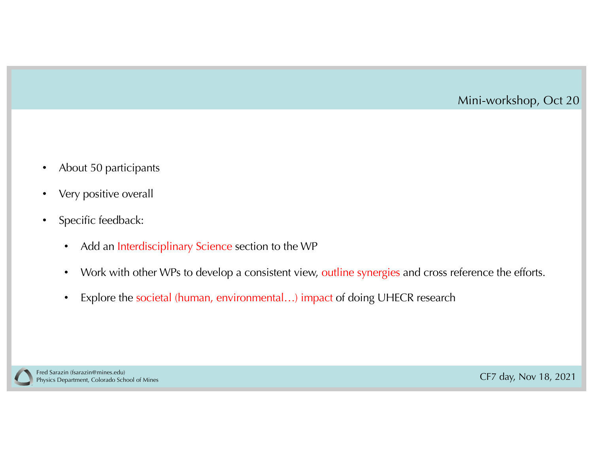#### Mini-workshop, Oct 20

- About 50 participants
- Very positive overall
- Specific feedback:
	- Add an Interdisciplinary Science section to the WP
	- Work with other WPs to develop a consistent view, outline synergies and cross reference the efforts.
	- Explore the societal (human, environmental...) impact of doing UHECR research

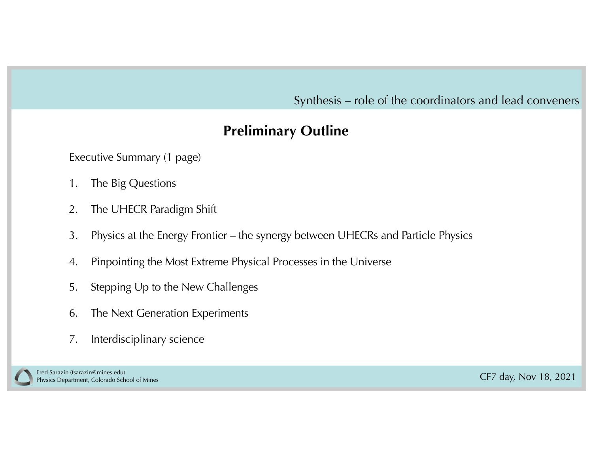Synthesis – role of the coordinators and lead conveners

## **Preliminary Outline**

Executive Summary (1 page)

- 1. The Big Questions
- 2. The UHECR Paradigm Shift
- 3. Physics at the Energy Frontier the synergy between UHECRs and Particle Physics
- 4. Pinpointing the Most Extreme Physical Processes in the Universe
- 5. Stepping Up to the New Challenges
- 6. The Next Generation Experiments
- 7. Interdisciplinary science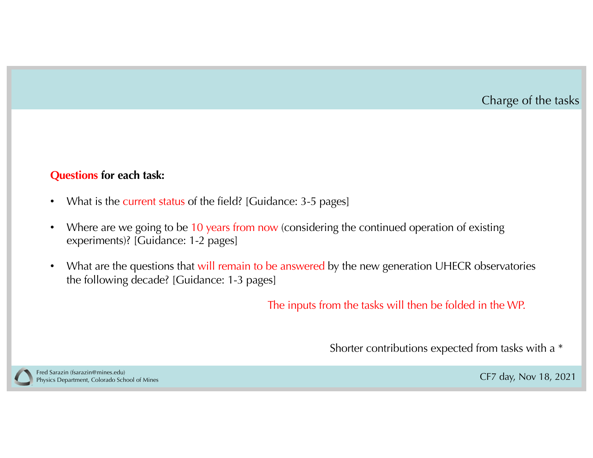#### Charge of the tasks

#### **Questions for each task:**

- What is the current status of the field? [Guidance: 3-5 pages]
- Where are we going to be 10 years from now (considering the continued operation of existing experiments)? [Guidance: 1-2 pages]
- What are the questions that will remain to be answered by the new generation UHECR observatories the following decade? [Guidance: 1-3 pages]

The inputs from the tasks will then be folded in the WP.

Shorter contributions expected from tasks with a \*

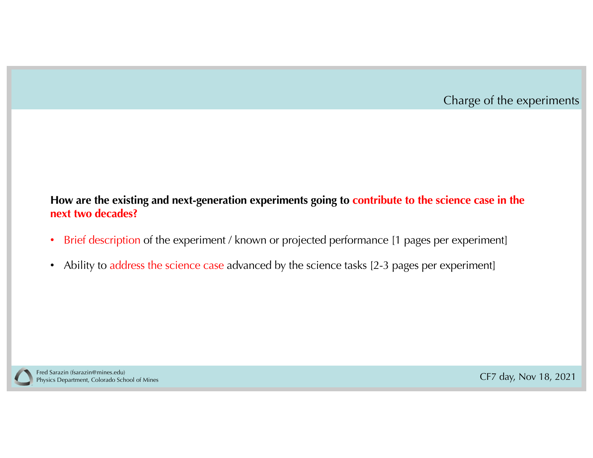

#### **How are the existing and next-generation experiments going to contribute to the science case in the next two decades?**

- Brief description of the experiment / known or projected performance [1 pages per experiment]
- Ability to address the science case advanced by the science tasks [2-3 pages per experiment]

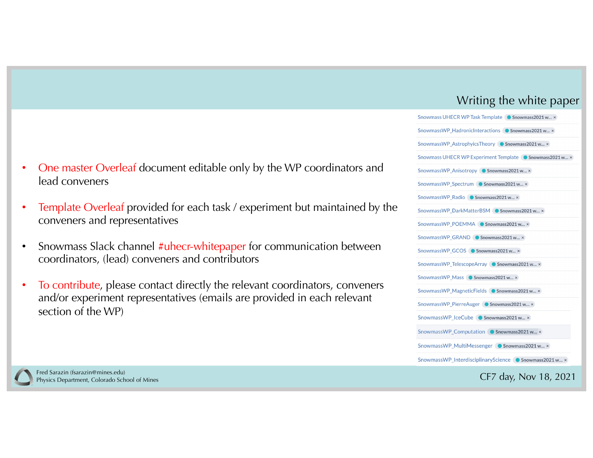#### Writing the white paper

| SHOWINDS UPLANTY RESERVED DR SHOWMASS 2021 W $\times$    |
|----------------------------------------------------------|
| SnowmassWP_HadronicInteractions ● Snowmass2021 w ×       |
| SnowmassWP AstrophyicsTheory ● Snowmass2021 w ×          |
| Snowmass UHECR WP Experiment Template ● Snowmass2021 w × |
| SnowmassWP Anisotropy ● Snowmass2021 w ×                 |
| SnowmassWP_Spectrum ● Snowmass2021 w ×                   |
| SnowmassWP Radio ● Snowmass2021 w ×                      |
| SnowmassWP_DarkMatterBSM<br>• Snowmass2021 w x           |
| SnowmassWP_POEMMA C Snowmass2021 w x                     |
| SnowmassWP_GRAND<br>• Snowmass2021 w ×                   |
| SnowmassWP GCOS ● Snowmass2021 w ×                       |
| SnowmassWP_TelescopeArray ● Snowmass2021 w ×             |
| SnowmassWP Mass C Snowmass2021 w x                       |
| SnowmassWP_MagneticFields C Snowmass2021 w x             |
| SnowmassWP PierreAuger C Snowmass2021 w x                |
| SnowmassWP IceCube C Snowmass2021 w x                    |
| SnowmassWP_Computation ● Snowmass2021 w ×                |
| SnowmassWP_MultiMessenger C Snowmass2021 w x             |
| SnowmassWP InterdisciplinaryScience ● Snowmass2021 w ×   |
| $CT7$ day Nov 10 0001                                    |

- One master Overleaf document editable only by the WP coordinators and lead conveners
- Template Overleaf provided for each task / experiment but maintained by the conveners and representatives
- Snowmass Slack channel #uhecr-whitepaper for communication between coordinators, (lead) conveners and contributors
- To contribute, please contact directly the relevant coordinators, conveners and/or experiment representatives (emails are provided in each relevant section of the WP)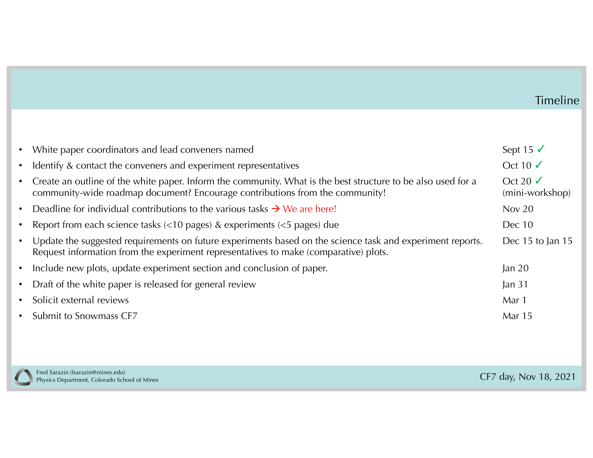## Timeline

| $\bullet$ | White paper coordinators and lead conveners named                                                                                                                                                 | Sept 15 $\checkmark$                 |
|-----------|---------------------------------------------------------------------------------------------------------------------------------------------------------------------------------------------------|--------------------------------------|
| $\bullet$ | Identify & contact the conveners and experiment representatives                                                                                                                                   | Oct 10 $\sqrt$                       |
| $\bullet$ | Create an outline of the white paper. Inform the community. What is the best structure to be also used for a<br>community-wide roadmap document? Encourage contributions from the community!      | Oct 20 $\sqrt{ }$<br>(mini-workshop) |
| $\bullet$ | Deadline for individual contributions to the various tasks $\rightarrow$ We are here!                                                                                                             | Nov $20$                             |
| $\bullet$ | Report from each science tasks $\left($ < 10 pages) & experiments $\left($ < 5 pages) due                                                                                                         | Dec 10                               |
| $\bullet$ | Update the suggested requirements on future experiments based on the science task and experiment reports.<br>Request information from the experiment representatives to make (comparative) plots. | Dec 15 to Jan $15$                   |
| $\bullet$ | Include new plots, update experiment section and conclusion of paper.                                                                                                                             | $\tan 20$                            |
| $\bullet$ | Draft of the white paper is released for general review                                                                                                                                           | Jan $31$                             |
| $\bullet$ | Solicit external reviews                                                                                                                                                                          | Mar 1                                |
| $\bullet$ | Submit to Snowmass CF7                                                                                                                                                                            | <b>Mar</b> 15                        |
|           |                                                                                                                                                                                                   |                                      |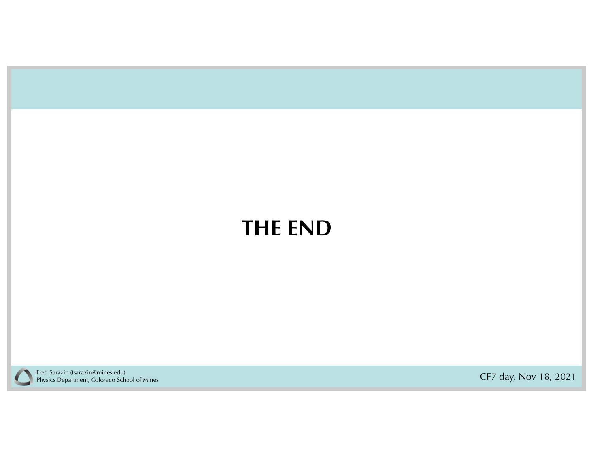# **THE END**



CF7 day, Nov 18, 2021 Fred Sarazin (fsarazin@mines.edu) Physics Department, Colorado School of Mines